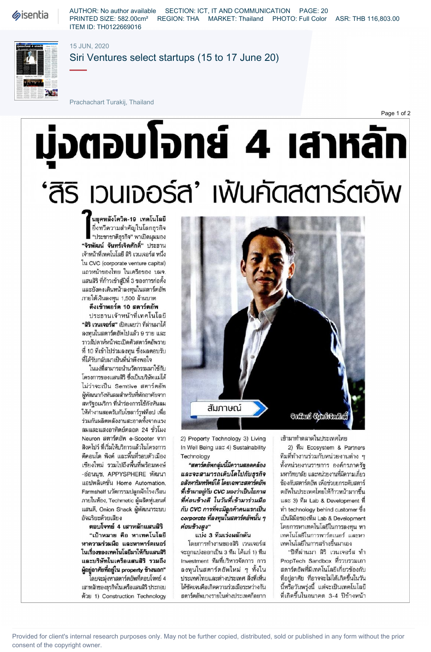**Sisentia** 

AUTHOR: No author available SECTION: ICT, IT AND COMMUNICATION PAGE: 20 PRINTED SIZE: 582.00cm² REGION: THA MARKET: Thailand PHOTO: Full Color ASR: THB 116,803.00 ITEM ID: TH0122669016



## 15 JUN, 2020

Siri Ventures select startups (15 to 17 June 20)

Prachachart Turakij, Thailand

# มุ่งตอบโจทย์ 4 เสาหลัท 'สิริ เวนเจอร์ส' เพ้นคัดสตาร์ตอัพ

ึ้นยุคหลังโควิด-19 เทคโนโลยี ยิ่งทวีความสำคัญในโลกธุรกิจ "ประชาชาติธุรกิจ" พาเปิดมุมมอง "จิรพัฒน์ จันทร์เจิดศักดิ์" ประธาน เจ้าหน้าที่เทคโนโลยี สิริ เวนเจอร์ส หนึ่ง Îu CVC (corporate venture capital) แถวหน้าของไทย ในเครือของ บมจ. แสนสิริ ที่ก้าวเข้าสู่ปีที่ 3 ของการก่อตั้ง และยังคงเดินหน้าลงทุนในสตาร์ตอัพ ภายใต้เงินลงทุน 1,500 ล้านบาท

### ดึงเข้าพอร์ต 10 สตาร์ตอัพ

ประธานเจ้าหน้าที่เทคโนโลยี "สิริ เวนเจอร์ส" เปิดเผยว่า ที่ผ่านมาได้ ลงทนในสตาร์ตอัพไปแล้ว 9 ราย และ ราวสัปดาห์หน้าจะเปิดตัวสตาร์ตอัพราย ที่ 10 ที่เข้าไปร่วมลงทน ซึ่งผลตอบรับ ที่ได้รับกลับมาเป็นที่น่าพึงพอใจ

ในแง่ที่สามารถนำนวัตกรรมมาใช้กับ โครงการของแสนสิริ ซึ่งเป็นบริษัทแม่ได้ ไม่ว่าจะเป็น Semtive สตาร์ตอัพ สหรัฐอเมริกา ที่นำร่องการใช้กังหันลม ให้ทำงานสอดรับกับโซลาร์รูฟท็อป เพื่อ ร่วมกันผลิตพลังงานสะอาดทั้งจากแรง ลมและแสงอาทิตย์ตลอด 24 ชั่วโมง Neuron สตาร์ตอัพ e-Scooter จาก สิงคโปร์ ที่เริ่มให้บริการแล้วในโครงการ ดีคอนโด พิงค์ และพื้นที่รอบตัวเมือง เชียงใหม่ รวมไปถึงพื้นที่พร้อมพงษ์ -อ่อนนุช, APPYSPHERE พัฒนา แอปพลิเคชั่น Home Automation, Farmshelf นวัตกรรมปลูกผักโรงเรือน ภายในห้อง, Techmetic ผู้ผลิตหุ่นยนต์ แสนดี, Onion Shack ผู้พัฒนาระบบ อัจฉริยะด้วยเสียง

ตอบโจทย์ 4 เสาหลักแสนสิริ "เป้าหมาย คือ หาเทคโนโลยี หาความร่วมมือ และหาพาร์ตเนอร์ ในเรื่องของเทคโนโลยีมาให้กับแสนสิริ และบริษัทในเครือแสนสิริ รวมถึง ผู้อยู่อาศัยที่อยู่ใน property ข้างนอก"

โดยจะมุ่งหาสตาร์ตอัพที่ตอบโจทย์ 4 เสาหลักของธุรกิจในเครือแสนสิริ ประกอบ ด้วย 1) Construction Technology



Well Being 4) Sustainability 2) Ecosystem & Partners

โดยการทำงานของสิริ เวนเจอร์ส เทคโนโลยีในการสร้างขึ้นมาเอง 3 1) " Investment ทีมที่บริหารจัดการ การ

2) Property Technology 3) Living

Page 1 of 2

Technology ทีมที่ทำงานร่วมกับหน่วยงานต่าง ๆ **"สตาร์ตอัพกลุ่มนี้มีความสอดคล้อง** ทั้งหน่วยงานราชการ องค์กรภาครัฐ และจะสามารถเติบโตไปกับธุรกิจ มหาวิทยาลัย และหน่วยงานที่มีความเกี่ยว อ**สังหาริมทรัพย์ได้ โดยเฉพาะสตาร์ตอัพ** ข้องกับสตาร์ตอัพ เพื่อช่วยยกระดับสตาร์ ที่เข้ามาอยู่กับ CVC มองว่าเป็นโอกาส ตอัพในประเทศไทยให้ก้าวหน้ามากขึ้น ที่ค่อนข้างดี ในวันที่เข้ามาร่วมมือ และ 3) ทีม Lab & Development ที่  $n\tilde{u}$  CVC การที่จะมีลูกค้าคนแรกเป็น ทำ technology behind customer ซึ่ง corporate Lab & Development โดยการหาเทคโนโลยีในการลงทน หา แบ่ง 3 ทีมเร่งผลักดัน เทคโนโลยีในการพาร์ตเนอร์ และหา

ลงทุนในสตาร์ตอัพใหม่ ๆ ทั้งใน ผตาร์ตอัพที่มีเทคโนโลยีเกี่ยวข้องกับ ประเทศไทยและต่างประเทศ สิ่งที่เห็น ที่อยู่อาศัย ที่อาจจะไม่ได้เกิดขึ้นในวัน ได้ชัดเจนคือเกิดความร่วมมือระหว่างกัน - นี้หรือวันพรุ่งนี้ แต่จะเป็นเทคโนโลยี สตาร์ตอัพบางรายในต่างประเทศก็อยาก ที่เกิดขึ้นในอนาคต 3-4 ปีข้างหน้า

Provided for client's internal research purposes only. May not be further copied, distributed, sold or published in any form without the prior consent of the copyright owner.